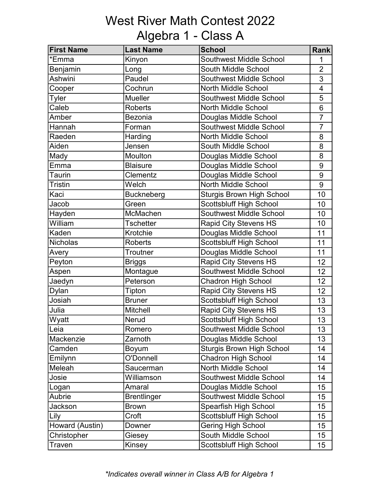# West River Math Contest 2022 Algebra 1 - Class A

| <b>First Name</b> | <b>Last Name</b>   | <b>School</b>                    | Rank                     |
|-------------------|--------------------|----------------------------------|--------------------------|
| *Emma             | Kinyon             | <b>Southwest Middle School</b>   | 1                        |
| Benjamin          | Long               | South Middle School              | $\overline{2}$           |
| <b>Ashwini</b>    | Paudel             | <b>Southwest Middle School</b>   | 3                        |
| Cooper            | Cochrun            | <b>North Middle School</b>       | $\overline{\mathcal{A}}$ |
| <b>Tyler</b>      | <b>Mueller</b>     | <b>Southwest Middle School</b>   | 5                        |
| Caleb             | <b>Roberts</b>     | North Middle School              | 6                        |
| Amber             | <b>Bezonia</b>     | Douglas Middle School            | $\overline{7}$           |
| Hannah            | Forman             | Southwest Middle School          | $\overline{7}$           |
| Raeden            | Harding            | North Middle School              | 8                        |
| Aiden             | Jensen             | South Middle School              | 8                        |
| Mady              | Moulton            | Douglas Middle School            | 8                        |
| Emma              | <b>Blaisure</b>    | Douglas Middle School            | 9                        |
| Taurin            | Clementz           | Douglas Middle School            | 9                        |
| <b>Tristin</b>    | Welch              | <b>North Middle School</b>       | 9                        |
| Kaci              | <b>Buckneberg</b>  | <b>Sturgis Brown High School</b> | 10                       |
| Jacob             | Green              | <b>Scottsbluff High School</b>   | 10                       |
| Hayden            | McMachen           | Southwest Middle School          | 10                       |
| William           | <b>Tschetter</b>   | <b>Rapid City Stevens HS</b>     | 10                       |
| Kaden             | Krotchie           | Douglas Middle School            | 11                       |
| <b>Nicholas</b>   | <b>Roberts</b>     | Scottsbluff High School          | 11                       |
| Avery             | Troutner           | Douglas Middle School            | 11                       |
| Peyton            | <b>Briggs</b>      | Rapid City Stevens HS            | 12                       |
| Aspen             | Montague           | Southwest Middle School          | 12                       |
| Jaedyn            | Peterson           | <b>Chadron High School</b>       | 12                       |
| Dylan             | Tipton             | <b>Rapid City Stevens HS</b>     | 12                       |
| Josiah            | <b>Bruner</b>      | <b>Scottsbluff High School</b>   | 13                       |
| Julia             | <b>Mitchell</b>    | <b>Rapid City Stevens HS</b>     | 13                       |
| Wyatt             | Nerud              | Scottsbluff High School          | 13                       |
| Leia              | Romero             | <b>Southwest Middle School</b>   | 13                       |
| Mackenzie         | Zarnoth            | Douglas Middle School            | 13                       |
| Camden            | Boyum              | <b>Sturgis Brown High School</b> | 14                       |
| Emilynn           | O'Donnell          | Chadron High School              | 14                       |
| Meleah            | Saucerman          | North Middle School              | 14                       |
| Josie             | Williamson         | <b>Southwest Middle School</b>   | 14                       |
| Logan             | Amaral             | Douglas Middle School            | 15                       |
| Aubrie            | <b>Brentlinger</b> | Southwest Middle School          | 15                       |
| Jackson           | Brown              | Spearfish High School            | 15                       |
| Lily              | Croft              | <b>Scottsbluff High School</b>   | 15                       |
| Howard (Austin)   | Downer             | <b>Gering High School</b>        | 15                       |
| Christopher       | Giesey             | South Middle School              | 15                       |
| Traven            | Kinsey             | Scottsbluff High School          | 15 <sub>15</sub>         |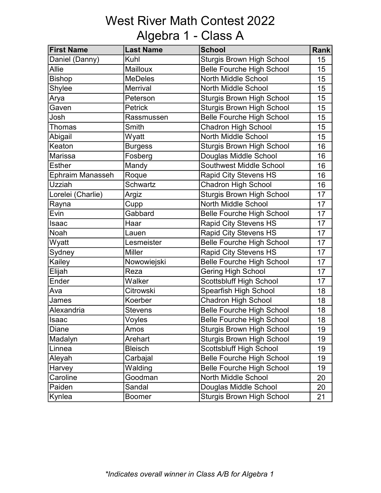## West River Math Contest 2022 Algebra 1 - Class A

| <b>First Name</b> | <b>Last Name</b> | <b>School</b>                    | <b>Rank</b> |
|-------------------|------------------|----------------------------------|-------------|
| Daniel (Danny)    | Kuhl             | <b>Sturgis Brown High School</b> | 15          |
| Allie             | <b>Mailloux</b>  | <b>Belle Fourche High School</b> | 15          |
| <b>Bishop</b>     | <b>MeDeles</b>   | North Middle School              | 15          |
| Shylee            | Merrival         | <b>North Middle School</b>       | 15          |
| Arya              | Peterson         | <b>Sturgis Brown High School</b> | 15          |
| Gaven             | <b>Petrick</b>   | <b>Sturgis Brown High School</b> | 15          |
| Josh              | Rassmussen       | <b>Belle Fourche High School</b> | 15          |
| Thomas            | Smith            | Chadron High School              | 15          |
| Abigail           | Wyatt            | North Middle School              | 15          |
| Keaton            | <b>Burgess</b>   | <b>Sturgis Brown High School</b> | 16          |
| <b>Marissa</b>    | Fosberg          | Douglas Middle School            | 16          |
| Esther            | Mandy            | <b>Southwest Middle School</b>   | 16          |
| Ephraim Manasseh  | Roque            | <b>Rapid City Stevens HS</b>     | 16          |
| Uzziah            | <b>Schwartz</b>  | <b>Chadron High School</b>       | 16          |
| Lorelei (Charlie) | Argiz            | <b>Sturgis Brown High School</b> | 17          |
| Rayna             | Cupp             | North Middle School              | 17          |
| Evin              | Gabbard          | <b>Belle Fourche High School</b> | 17          |
| Isaac             | Haar             | <b>Rapid City Stevens HS</b>     | 17          |
| Noah              | Lauen            | <b>Rapid City Stevens HS</b>     | 17          |
| Wyatt             | Lesmeister       | <b>Belle Fourche High School</b> | 17          |
| Sydney            | <b>Miller</b>    | <b>Rapid City Stevens HS</b>     | 17          |
| Kailey            | Nowowiejski      | <b>Belle Fourche High School</b> | 17          |
| Elijah            | Reza             | <b>Gering High School</b>        | 17          |
| Ender             | Walker           | Scottsbluff High School          | 17          |
| Ava               | Citrowski        | Spearfish High School            | 18          |
| James             | Koerber          | <b>Chadron High School</b>       | 18          |
| Alexandria        | <b>Stevens</b>   | <b>Belle Fourche High School</b> | 18          |
| Isaac             | Voyles           | <b>Belle Fourche High School</b> | 18          |
| Diane             | Amos             | <b>Sturgis Brown High School</b> | 19          |
| Madalyn           | Arehart          | <b>Sturgis Brown High School</b> | 19          |
| Linnea            | <b>Bleisch</b>   | <b>Scottsbluff High School</b>   | 19          |
| Aleyah            | Carbajal         | <b>Belle Fourche High School</b> | 19          |
| Harvey            | Walding          | <b>Belle Fourche High School</b> | 19          |
| Caroline          | Goodman          | North Middle School              | 20          |
| Paiden            | Sandal           | Douglas Middle School            | 20          |
| Kynlea            | <b>Boomer</b>    | <b>Sturgis Brown High School</b> | 21          |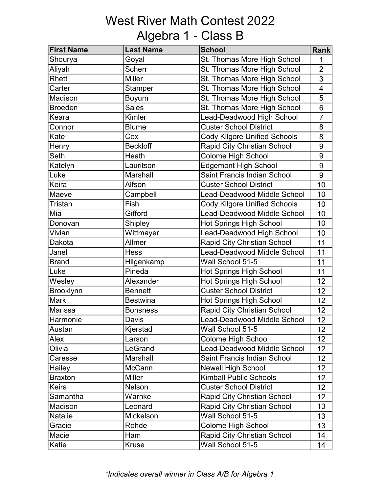### West River Math Contest 2022 Algebra 1 - Class B

| <b>First Name</b> | <b>Last Name</b> | <b>School</b>                       | <b>Rank</b>             |
|-------------------|------------------|-------------------------------------|-------------------------|
| Shourya           | Goyal            | St. Thomas More High School         | 1                       |
| Aliyah            | <b>Scherr</b>    | St. Thomas More High School         | $\overline{2}$          |
| Rhett             | <b>Miller</b>    | St. Thomas More High School         | 3                       |
| Carter            | Stamper          | St. Thomas More High School         | $\overline{\mathbf{4}}$ |
| Madison           | Boyum            | St. Thomas More High School         | 5                       |
| <b>Broeden</b>    | <b>Sales</b>     | St. Thomas More High School         | 6                       |
| Keara             | Kimler           | Lead-Deadwood High School           | $\overline{7}$          |
| Connor            | <b>Blume</b>     | <b>Custer School District</b>       | 8                       |
| Kate              | Cox              | <b>Cody Kilgore Unified Schools</b> | 8                       |
| Henry             | <b>Beckloff</b>  | Rapid City Christian School         | 9                       |
| Seth              | Heath            | Colome High School                  | 9                       |
| Katelyn           | Lauritson        | <b>Edgemont High School</b>         | 9                       |
| Luke              | Marshall         | Saint Francis Indian School         | 9                       |
| Keira             | Alfson           | <b>Custer School District</b>       | 10                      |
| Maeve             | Campbell         | <b>Lead-Deadwood Middle School</b>  | 10                      |
| <b>Tristan</b>    | Fish             | <b>Cody Kilgore Unified Schools</b> | 10                      |
| Mia               | Gifford          | Lead-Deadwood Middle School         | 10                      |
| Donovan           | <b>Shipley</b>   | <b>Hot Springs High School</b>      | 10                      |
| Vivian            | Wittmayer        | Lead-Deadwood High School           | 10                      |
| Dakota            | Allmer           | <b>Rapid City Christian School</b>  | 11                      |
| Janel             | <b>Hess</b>      | <b>Lead-Deadwood Middle School</b>  | 11                      |
| <b>Brand</b>      | Hilgenkamp       | Wall School 51-5                    | 11                      |
| Luke              | Pineda           | <b>Hot Springs High School</b>      | 11                      |
| Wesley            | Alexander        | <b>Hot Springs High School</b>      | 12                      |
| Brooklynn         | <b>Bennett</b>   | <b>Custer School District</b>       | 12                      |
| <b>Mark</b>       | <b>Bestwina</b>  | <b>Hot Springs High School</b>      | 12                      |
| Marissa           | <b>Bonsness</b>  | Rapid City Christian School         | 12                      |
| Harmonie          | Davis            | Lead-Deadwood Middle School         | 12                      |
| Austan            | Kjerstad         | Wall School 51-5                    | 12 <sub>2</sub>         |
| Alex              | Larson           | <b>Colome High School</b>           | 12 <sub>2</sub>         |
| Olivia            | LeGrand          | Lead-Deadwood Middle School         | 12 <sub>2</sub>         |
| Caresse           | Marshall         | <b>Saint Francis Indian School</b>  | 12 <sub>2</sub>         |
| Hailey            | McCann           | <b>Newell High School</b>           | 12 <sub>2</sub>         |
| <b>Braxton</b>    | <b>Miller</b>    | <b>Kimball Public Schools</b>       | 12                      |
| Keira             | Nelson           | <b>Custer School District</b>       | 12 <sub>2</sub>         |
| Samantha          | Warnke           | Rapid City Christian School         | 12 <sup>2</sup>         |
| Madison           | Leonard          | Rapid City Christian School         | 13                      |
| Natalie           | Mickelson        | Wall School 51-5                    | 13                      |
| Gracie            | Rohde            | <b>Colome High School</b>           | 13                      |
| Macie             | Ham              | <b>Rapid City Christian School</b>  | 14                      |
| Katie             | <b>Kruse</b>     | Wall School 51-5                    | 14                      |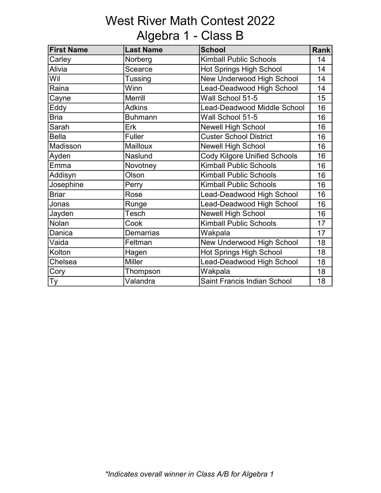# West River Math Contest 2022 Algebra 1 - Class B

| <b>First Name</b> | <b>Last Name</b> | <b>School</b>                  | <b>Rank</b> |
|-------------------|------------------|--------------------------------|-------------|
| Carley            | Norberg          | <b>Kimball Public Schools</b>  | 14          |
| Alivia            | Scearce          | <b>Hot Springs High School</b> | 14          |
| Wil               | Tussing          | New Underwood High School      | 14          |
| Raina             | Winn             | Lead-Deadwood High School      | 14          |
| Cayne             | <b>Merrill</b>   | Wall School 51-5               | 15          |
| Eddy              | <b>Adkins</b>    | Lead-Deadwood Middle School    | 16          |
| <b>Bria</b>       | <b>Buhmann</b>   | Wall School 51-5               | 16          |
| Sarah             | Erk              | <b>Newell High School</b>      | 16          |
| <b>Bella</b>      | Fuller           | <b>Custer School District</b>  | 16          |
| Madisson          | <b>Mailloux</b>  | <b>Newell High School</b>      | 16          |
| Ayden             | Naslund          | Cody Kilgore Unified Schools   | 16          |
| Emma              | Novotney         | <b>Kimball Public Schools</b>  | 16          |
| Addisyn           | Olson            | <b>Kimball Public Schools</b>  | 16          |
| Josephine         | Perry            | <b>Kimball Public Schools</b>  | 16          |
| <b>Briar</b>      | Rose             | Lead-Deadwood High School      | 16          |
| Jonas             | Runge            | Lead-Deadwood High School      | 16          |
| Jayden            | Tesch            | <b>Newell High School</b>      | 16          |
| Nolan             | Cook             | <b>Kimball Public Schools</b>  | 17          |
| Danica            | <b>Demarrias</b> | Wakpala                        | 17          |
| Vaida             | Feltman          | New Underwood High School      | 18          |
| Kolton            | Hagen            | <b>Hot Springs High School</b> | 18          |
| Chelsea           | <b>Miller</b>    | Lead-Deadwood High School      | 18          |
| Cory              | Thompson         | Wakpala                        | 18          |
| Ty                | Valandra         | Saint Francis Indian School    | 18          |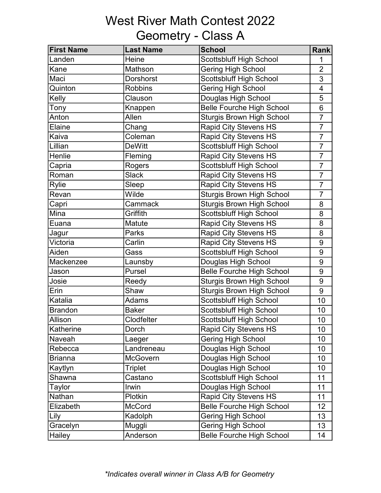## West River Math Contest 2022 Geometry - Class A

| <b>First Name</b> | <b>Last Name</b> | <b>School</b>                    | <b>Rank</b>    |
|-------------------|------------------|----------------------------------|----------------|
| Landen            | Heine            | <b>Scottsbluff High School</b>   |                |
| Kane              | Mathson          | <b>Gering High School</b>        | $\overline{2}$ |
| Maci              | <b>Dorshorst</b> | <b>Scottsbluff High School</b>   | 3              |
| Quinton           | <b>Robbins</b>   | <b>Gering High School</b>        | 4              |
| Kelly             | Clauson          | Douglas High School              | 5              |
| Tony              | Knappen          | <b>Belle Fourche High School</b> | 6              |
| Anton             | Allen            | <b>Sturgis Brown High School</b> | $\overline{7}$ |
| Elaine            | Chang            | <b>Rapid City Stevens HS</b>     | $\overline{7}$ |
| Kaiva             | Coleman          | <b>Rapid City Stevens HS</b>     | $\overline{7}$ |
| <b>Lillian</b>    | <b>DeWitt</b>    | <b>Scottsbluff High School</b>   | $\overline{7}$ |
| Henlie            | Fleming          | <b>Rapid City Stevens HS</b>     | $\overline{7}$ |
| Capria            | Rogers           | <b>Scottsbluff High School</b>   | $\overline{7}$ |
| Roman             | <b>Slack</b>     | <b>Rapid City Stevens HS</b>     | $\overline{7}$ |
| <b>Rylie</b>      | Sleep            | <b>Rapid City Stevens HS</b>     | $\overline{7}$ |
| Revan             | Wilde            | <b>Sturgis Brown High School</b> | $\overline{7}$ |
| Capri             | Cammack          | <b>Sturgis Brown High School</b> | 8              |
| Mina              | Griffith         | <b>Scottsbluff High School</b>   | 8              |
| Euana             | Matute           | <b>Rapid City Stevens HS</b>     | 8              |
| Jagur             | Parks            | <b>Rapid City Stevens HS</b>     | 8              |
| Victoria          | Carlin           | <b>Rapid City Stevens HS</b>     | 9              |
| Aiden             | Gass             | Scottsbluff High School          | $9\,$          |
| Mackenzee         | Launsby          | Douglas High School              | 9              |
| Jason             | Pursel           | <b>Belle Fourche High School</b> | 9              |
| Josie             | Reedy            | <b>Sturgis Brown High School</b> | 9              |
| Erin              | Shaw             | <b>Sturgis Brown High School</b> | 9              |
| Katalia           | Adams            | <b>Scottsbluff High School</b>   | 10             |
| Brandon           | <b>Baker</b>     | <b>Scottsbluff High School</b>   | 10             |
| Allison           | Clodfelter       | <b>Scottsbluff High School</b>   | 10             |
| Katherine         | Dorch            | <b>Rapid City Stevens HS</b>     | 10             |
| Naveah            | Laeger           | <b>Gering High School</b>        | 10             |
| Rebecca           | Landreneau       | Douglas High School              | 10             |
| Brianna           | McGovern         | Douglas High School              | 10             |
| Kaytlyn           | <b>Triplet</b>   | Douglas High School              | 10             |
| Shawna            | Castano          | Scottsbluff High School          | 11             |
| Taylor            | Irwin            | Douglas High School              | 11             |
| Nathan            | Plotkin          | <b>Rapid City Stevens HS</b>     | 11             |
| Elizabeth         | <b>McCord</b>    | <b>Belle Fourche High School</b> | 12             |
| Lily              | Kadolph          | <b>Gering High School</b>        | 13             |
| Gracelyn          | Muggli           | Gering High School               | 13             |
| Hailey            | Anderson         | <b>Belle Fourche High School</b> | 14             |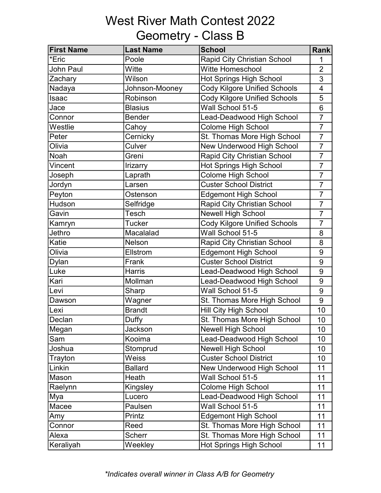# West River Math Contest 2022 Geometry - Class B

| <b>First Name</b> | <b>Last Name</b> | <b>School</b>                       | <b>Rank</b>              |
|-------------------|------------------|-------------------------------------|--------------------------|
| *Eric             | Poole            | Rapid City Christian School         | 1                        |
| <b>John Paul</b>  | Witte            | Witte Homeschool                    | $\overline{2}$           |
| Zachary           | Wilson           | <b>Hot Springs High School</b>      | 3                        |
| Nadaya            | Johnson-Mooney   | <b>Cody Kilgore Unified Schools</b> | $\overline{\mathcal{A}}$ |
| Isaac             | Robinson         | <b>Cody Kilgore Unified Schools</b> | 5                        |
| Jace              | <b>Blasius</b>   | Wall School 51-5                    | 6                        |
| Connor            | <b>Bender</b>    | Lead-Deadwood High School           | $\overline{7}$           |
| Westlie           | Cahoy            | Colome High School                  | $\overline{7}$           |
| Peter             | Cernicky         | St. Thomas More High School         | $\overline{7}$           |
| Olivia            | Culver           | New Underwood High School           | $\overline{7}$           |
| Noah              | Greni            | Rapid City Christian School         | $\overline{7}$           |
| Vincent           | Irizarry         | <b>Hot Springs High School</b>      | $\overline{7}$           |
| Joseph            | Laprath          | Colome High School                  | $\overline{7}$           |
| Jordyn            | Larsen           | <b>Custer School District</b>       | $\overline{7}$           |
| Peyton            | Ostenson         | <b>Edgemont High School</b>         | $\overline{7}$           |
| Hudson            | Selfridge        | Rapid City Christian School         | $\overline{7}$           |
| Gavin             | Tesch            | <b>Newell High School</b>           | $\overline{7}$           |
| Kamryn            | <b>Tucker</b>    | <b>Cody Kilgore Unified Schools</b> | $\overline{7}$           |
| Jethro            | Macalalad        | Wall School 51-5                    | 8                        |
| Katie             | Nelson           | Rapid City Christian School         | 8                        |
| Olivia            | Ellstrom         | <b>Edgemont High School</b>         | 9                        |
| Dylan             | Frank            | <b>Custer School District</b>       | 9                        |
| Luke              | <b>Harris</b>    | Lead-Deadwood High School           | 9                        |
| Kari              | Mollman          | Lead-Deadwood High School           | 9                        |
| Levi              | Sharp            | Wall School 51-5                    | 9                        |
| Dawson            | Wagner           | St. Thomas More High School         | 9                        |
| Lexi              | <b>Brandt</b>    | Hill City High School               | 10                       |
| Declan            | Duffy            | St. Thomas More High School         | 10                       |
| Megan             | Jackson          | <b>Newell High School</b>           | 10                       |
| Sam               | Kooima           | Lead-Deadwood High School           | 10                       |
| Joshua            | Stomprud         | <b>Newell High School</b>           | 10                       |
| Trayton           | Weiss            | <b>Custer School District</b>       | 10                       |
| Linkin            | <b>Ballard</b>   | New Underwood High School           | 11                       |
| Mason             | Heath            | Wall School 51-5                    | 11                       |
| Raelynn           | Kingsley         | <b>Colome High School</b>           | 11                       |
| Mya               | Lucero           | Lead-Deadwood High School           | 11                       |
| Macee             | Paulsen          | Wall School 51-5                    | 11                       |
| Amy               | Printz           | <b>Edgemont High School</b>         | 11                       |
| Connor            | Reed             | St. Thomas More High School         | 11                       |
| Alexa             | <b>Scherr</b>    | St. Thomas More High School         | 11                       |
| Keraliyah         | Weekley          | <b>Hot Springs High School</b>      | 11                       |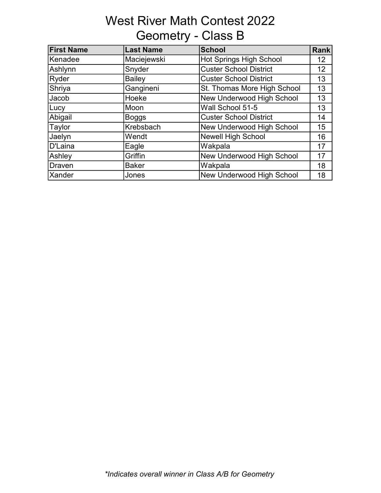# West River Math Contest 2022 Geometry - Class B

| <b>First Name</b> | <b>Last Name</b> | <b>School</b>                  | <b>Rank</b> |
|-------------------|------------------|--------------------------------|-------------|
| Kenadee           | Maciejewski      | <b>Hot Springs High School</b> | 12          |
| Ashlynn           | Snyder           | <b>Custer School District</b>  | 12          |
| Ryder             | <b>Bailey</b>    | <b>Custer School District</b>  | 13          |
| Shriya            | Gangineni        | St. Thomas More High School    | 13          |
| Jacob             | Hoeke            | New Underwood High School      | 13          |
| Lucy              | Moon             | Wall School 51-5               | 13          |
| Abigail           | <b>Boggs</b>     | <b>Custer School District</b>  | 14          |
| Taylor            | Krebsbach        | New Underwood High School      | 15          |
| Jaelyn            | Wendt            | <b>Newell High School</b>      | 16          |
| D'Laina           | Eagle            | Wakpala                        | 17          |
| Ashley            | Griffin          | New Underwood High School      | 17          |
| Draven            | <b>Baker</b>     | Wakpala                        | 18          |
| <b>Xander</b>     | Jones            | New Underwood High School      | 18          |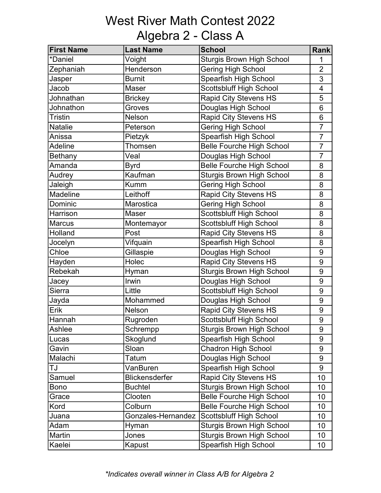# West River Math Contest 2022 Algebra 2 - Class A

| <b>First Name</b> | <b>Last Name</b>      | <b>School</b>                    | <b>Rank</b>    |
|-------------------|-----------------------|----------------------------------|----------------|
| *Daniel           | Voight                | <b>Sturgis Brown High School</b> | 1              |
| Zephaniah         | Henderson             | <b>Gering High School</b>        | $\overline{2}$ |
| Jasper            | <b>Burnit</b>         | Spearfish High School            | 3              |
| Jacob             | Maser                 | <b>Scottsbluff High School</b>   | 4              |
| Johnathan         | <b>Brickey</b>        | <b>Rapid City Stevens HS</b>     | 5              |
| Johnathon         | Groves                | Douglas High School              | 6              |
| <b>Tristin</b>    | Nelson                | <b>Rapid City Stevens HS</b>     | 6              |
| <b>Natalie</b>    | Peterson              | Gering High School               | $\overline{7}$ |
| Anissa            | Pietzyk               | Spearfish High School            | $\overline{7}$ |
| <b>Adeline</b>    | Thomsen               | <b>Belle Fourche High School</b> | $\overline{7}$ |
| <b>Bethany</b>    | Veal                  | Douglas High School              | $\overline{7}$ |
| Amanda            | <b>Byrd</b>           | <b>Belle Fourche High School</b> | 8              |
| Audrey            | Kaufman               | <b>Sturgis Brown High School</b> | 8              |
| Jaleigh           | <b>Kumm</b>           | <b>Gering High School</b>        | 8              |
| <b>Madeline</b>   | Leithoff              | <b>Rapid City Stevens HS</b>     | 8              |
| Dominic           | Marostica             | <b>Gering High School</b>        | 8              |
| Harrison          | Maser                 | Scottsbluff High School          | 8              |
| <b>Marcus</b>     | Montemayor            | Scottsbluff High School          | 8              |
| Holland           | Post                  | <b>Rapid City Stevens HS</b>     | 8              |
| Jocelyn           | Vifquain              | Spearfish High School            | 8              |
| Chloe             | Gillaspie             | Douglas High School              | 9              |
| Hayden            | Holec                 | <b>Rapid City Stevens HS</b>     | 9              |
| Rebekah           | Hyman                 | <b>Sturgis Brown High School</b> | 9              |
| Jacey             | Irwin                 | Douglas High School              | 9              |
| Sierra            | Little                | <b>Scottsbluff High School</b>   | 9              |
| Jayda             | Mohammed              | Douglas High School              | 9              |
| Erik              | Nelson                | <b>Rapid City Stevens HS</b>     | 9              |
| Hannah            | Rugroden              | Scottsbluff High School          | 9              |
| Ashlee            | Schrempp              | <b>Sturgis Brown High School</b> | 9              |
| Lucas             | Skoglund              | Spearfish High School            | 9              |
| Gavin             | Sloan                 | Chadron High School              | 9              |
| Malachi           | Tatum                 | Douglas High School              | 9              |
| IJ                | VanBuren              | Spearfish High School            | 9              |
| Samuel            | <b>Blickensderfer</b> | <b>Rapid City Stevens HS</b>     | 10             |
| Bono              | <b>Buchtel</b>        | <b>Sturgis Brown High School</b> | 10             |
| Grace             | Clooten               | <b>Belle Fourche High School</b> | 10             |
| Kord              | Colburn               | <b>Belle Fourche High School</b> | 10             |
| Juana             | Gonzales-Hernandez    | Scottsbluff High School          | 10             |
| Adam              | Hyman                 | <b>Sturgis Brown High School</b> | 10             |
| Martin            | Jones                 | <b>Sturgis Brown High School</b> | 10             |
| Kaelei            | Kapust                | Spearfish High School            | 10             |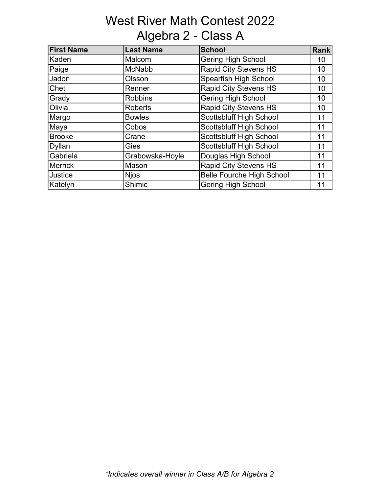## West River Math Contest 2022 Algebra 2 - Class A

| <b>First Name</b> | Last Name       | <b>School</b>                    | <b>Rank</b> |
|-------------------|-----------------|----------------------------------|-------------|
| Kaden             | Malcom          | <b>Gering High School</b>        | 10          |
| Paige             | <b>McNabb</b>   | <b>Rapid City Stevens HS</b>     | 10          |
| <b>Jadon</b>      | Olsson          | Spearfish High School            | 10          |
| Chet              | Renner          | <b>Rapid City Stevens HS</b>     | 10          |
| Grady             | <b>Robbins</b>  | <b>Gering High School</b>        | 10          |
| Olivia            | <b>Roberts</b>  | <b>Rapid City Stevens HS</b>     | 10          |
| Margo             | <b>Bowles</b>   | <b>Scottsbluff High School</b>   | 11          |
| Maya              | Cobos           | <b>Scottsbluff High School</b>   | 11          |
| <b>Brooke</b>     | Crane           | Scottsbluff High School          | 11          |
| <b>Dyllan</b>     | <b>Gies</b>     | <b>Scottsbluff High School</b>   | 11          |
| Gabriela          | Grabowska-Hoyle | Douglas High School              | 11          |
| Merrick           | Mason           | <b>Rapid City Stevens HS</b>     | 11          |
| <b>Justice</b>    | <b>Njos</b>     | <b>Belle Fourche High School</b> | 11          |
| Katelyn           | Shimic          | <b>Gering High School</b>        | 11          |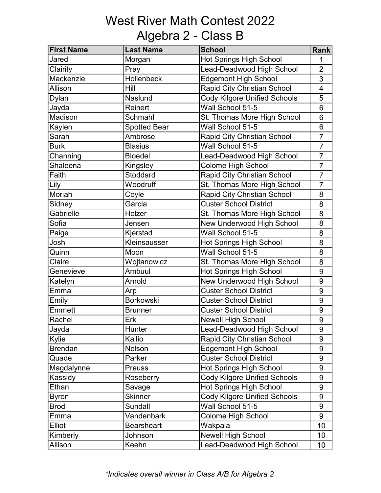# West River Math Contest 2022 Algebra 2 - Class B

| <b>First Name</b> | <b>Last Name</b>    | <b>School</b>                       | <b>Rank</b>             |
|-------------------|---------------------|-------------------------------------|-------------------------|
| Jared             | Morgan              | <b>Hot Springs High School</b>      | 1                       |
| Clairity          | Pray                | Lead-Deadwood High School           | $\overline{2}$          |
| Mackenzie         | Hollenbeck          | <b>Edgemont High School</b>         | 3                       |
| Allison           | Hill                | Rapid City Christian School         | $\overline{\mathbf{4}}$ |
| Dylan             | Naslund             | <b>Cody Kilgore Unified Schools</b> | 5                       |
| Jayda             | Reinert             | Wall School 51-5                    | 6                       |
| Madison           | Schmahl             | St. Thomas More High School         | 6                       |
| Kaylen            | <b>Spotted Bear</b> | Wall School 51-5                    | 6                       |
| Sarah             | Ambrose             | Rapid City Christian School         | $\overline{7}$          |
| Burk              | <b>Blasius</b>      | Wall School 51-5                    | $\overline{7}$          |
| Channing          | <b>Bloedel</b>      | Lead-Deadwood High School           | $\overline{7}$          |
| Shaleena          | Kingsley            | Colome High School                  | $\overline{7}$          |
| Faith             | Stoddard            | Rapid City Christian School         | $\overline{7}$          |
| Lily              | Woodruff            | St. Thomas More High School         | $\overline{7}$          |
| Moriah            | Coyle               | Rapid City Christian School         | 8                       |
| Sidney            | Garcia              | <b>Custer School District</b>       | 8                       |
| Gabrielle         | Holzer              | St. Thomas More High School         | 8                       |
| Sofia             | Jensen              | New Underwood High School           | 8                       |
| Paige             | Kjerstad            | Wall School 51-5                    | 8                       |
| Josh              | Kleinsausser        | <b>Hot Springs High School</b>      | 8                       |
| Quinn             | Moon                | Wall School 51-5                    | 8                       |
| Claire            | Wojtanowicz         | St. Thomas More High School         | 8                       |
| Genevieve         | Ambuul              | <b>Hot Springs High School</b>      | 9                       |
| Katelyn           | Arnold              | New Underwood High School           | 9                       |
| Emma              | Arp                 | <b>Custer School District</b>       | 9                       |
| Emily             | <b>Borkowski</b>    | <b>Custer School District</b>       | 9                       |
| Emmett            | <b>Brunner</b>      | <b>Custer School District</b>       | 9                       |
| <b>Rachel</b>     | Erk                 | <b>Newell High School</b>           | 9                       |
| Jayda             | Hunter              | Lead-Deadwood High School           | 9                       |
| Kylie             | Kallio              | <b>Rapid City Christian School</b>  | 9                       |
| Brendan           | Nelson              | <b>Edgemont High School</b>         | 9                       |
| Quade             | Parker              | <b>Custer School District</b>       | 9                       |
| Magdalynne        | <b>Preuss</b>       | <b>Hot Springs High School</b>      | $\boldsymbol{9}$        |
| Kassidy           | Roseberry           | Cody Kilgore Unified Schools        | 9                       |
| Ethan             | Savage              | <b>Hot Springs High School</b>      | 9                       |
| Byron             | <b>Skinner</b>      | <b>Cody Kilgore Unified Schools</b> | 9                       |
| <b>Brodi</b>      | Sundall             | Wall School 51-5                    | 9                       |
| Emma              | Vandenbark          | Colome High School                  | 9                       |
| Elliot            | <b>Bearsheart</b>   | Wakpala                             | 10                      |
| Kimberly          | Johnson             | <b>Newell High School</b>           | 10                      |
| Allison           | Keehn               | Lead-Deadwood High School           | 10                      |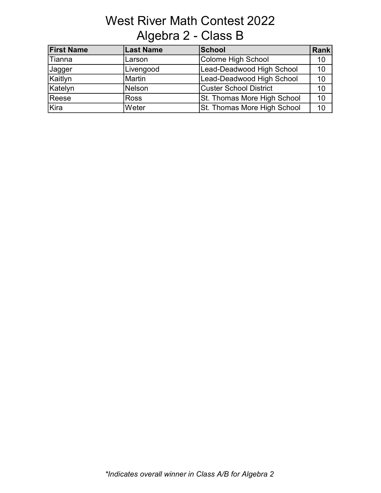# West River Math Contest 2022 Algebra 2 - Class B

| <b>First Name</b> | <b>Last Name</b> | <b>School</b>               | Rank |
|-------------------|------------------|-----------------------------|------|
| Tianna            | Larson           | Colome High School          | 10   |
| Jagger            | Livengood        | Lead-Deadwood High School   | 10   |
| Kaitlyn           | Martin           | Lead-Deadwood High School   | 10   |
| Katelyn           | Nelson           | Custer School District      | 10   |
| Reese             | Ross             | St. Thomas More High School | 10   |
| Kira              | Weter            | St. Thomas More High School | 10   |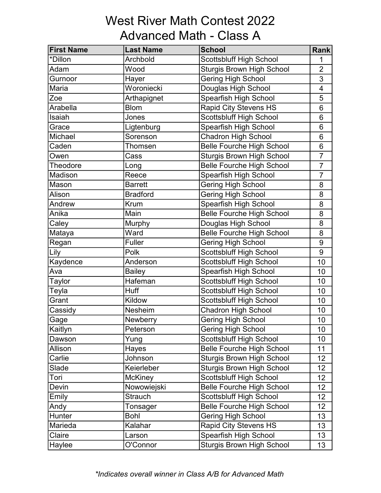#### West River Math Contest 2022 Advanced Math - Class A

| <b>First Name</b> | <b>Last Name</b> | <b>School</b>                    | <b>Rank</b>              |
|-------------------|------------------|----------------------------------|--------------------------|
| *Dillon           | Archbold         | <b>Scottsbluff High School</b>   | 1                        |
| Adam              | Wood             | <b>Sturgis Brown High School</b> | $\overline{2}$           |
| Gurnoor           | Hayer            | Gering High School               | 3                        |
| Maria             | Woroniecki       | Douglas High School              | $\overline{\mathcal{A}}$ |
| Zoe               | Arthapignet      | Spearfish High School            | 5                        |
| Arabella          | <b>Blom</b>      | <b>Rapid City Stevens HS</b>     | 6                        |
| Isaiah            | Jones            | <b>Scottsbluff High School</b>   | 6                        |
| Grace             | Ligtenburg       | Spearfish High School            | $6\phantom{1}$           |
| Michael           | Sorenson         | <b>Chadron High School</b>       | 6                        |
| Caden             | <b>Thomsen</b>   | <b>Belle Fourche High School</b> | 6                        |
| Owen              | Cass             | <b>Sturgis Brown High School</b> | $\overline{7}$           |
| Theodore          | Long             | <b>Belle Fourche High School</b> | $\overline{7}$           |
| Madison           | Reece            | Spearfish High School            | $\overline{7}$           |
| Mason             | <b>Barrett</b>   | <b>Gering High School</b>        | 8                        |
| Alison            | <b>Bradford</b>  | Gering High School               | 8                        |
| Andrew            | Krum             | Spearfish High School            | 8                        |
| Anika             | Main             | <b>Belle Fourche High School</b> | 8                        |
| Caley             | Murphy           | Douglas High School              | 8                        |
| Mataya            | Ward             | <b>Belle Fourche High School</b> | 8                        |
| Regan             | Fuller           | <b>Gering High School</b>        | 9                        |
| Lily              | Polk             | <b>Scottsbluff High School</b>   | 9                        |
| Kaydence          | Anderson         | Scottsbluff High School          | 10                       |
| Ava               | <b>Bailey</b>    | Spearfish High School            | 10                       |
| <b>Taylor</b>     | Hafeman          | Scottsbluff High School          | 10                       |
| Teyla             | <b>Huff</b>      | <b>Scottsbluff High School</b>   | 10                       |
| Grant             | Kildow           | <b>Scottsbluff High School</b>   | 10                       |
| Cassidy           | Nesheim          | <b>Chadron High School</b>       | 10                       |
| Gage              | Newberry         | <b>Gering High School</b>        | 10                       |
| Kaitlyn           | Peterson         | Gering High School               | 10                       |
| Dawson            | Yung             | Scottsbluff High School          | 10                       |
| Allison           | Hayes            | <b>Belle Fourche High School</b> | 11                       |
| Carlie            | Johnson          | <b>Sturgis Brown High School</b> | 12                       |
| Slade             | Keierleber       | <b>Sturgis Brown High School</b> | 12                       |
| Tori              | <b>McKiney</b>   | Scottsbluff High School          | 12                       |
| Devin             | Nowowiejski      | <b>Belle Fourche High School</b> | 12                       |
| Emily             | <b>Strauch</b>   | Scottsbluff High School          | 12 <sup>2</sup>          |
| Andy              | Tonsager         | <b>Belle Fourche High School</b> | 12                       |
| Hunter            | <b>Bohl</b>      | <b>Gering High School</b>        | 13                       |
| Marieda           | Kalahar          | <b>Rapid City Stevens HS</b>     | 13                       |
| Claire            | Larson           | Spearfish High School            | 13                       |
| Haylee            | O'Connor         | <b>Sturgis Brown High School</b> | 13                       |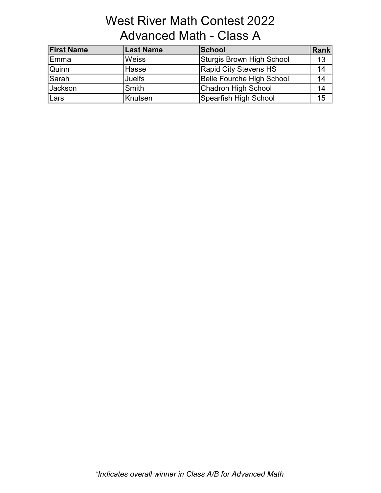### West River Math Contest 2022 Advanced Math - Class A

| <b>First Name</b> | <b>Last Name</b> | <b>School</b>                    | Rank |
|-------------------|------------------|----------------------------------|------|
| Emma              | <b>Weiss</b>     | Sturgis Brown High School        | 13   |
| Quinn             | Hasse            | <b>Rapid City Stevens HS</b>     | 14   |
| <b>Sarah</b>      | <b>Juelfs</b>    | <b>Belle Fourche High School</b> | 14   |
| Jackson           | Smith            | Chadron High School              | 14   |
| Lars              | Knutsen          | Spearfish High School            | 15   |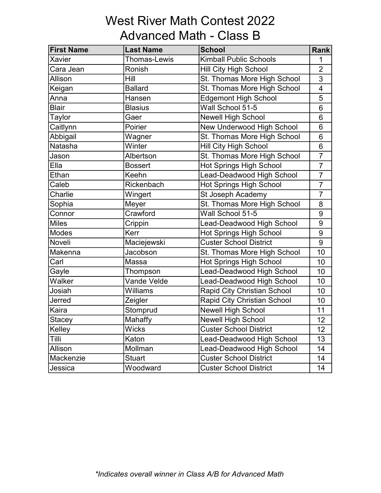### West River Math Contest 2022 Advanced Math - Class B

| <b>First Name</b> | <b>Last Name</b>    | <b>School</b>                      | <b>Rank</b>             |
|-------------------|---------------------|------------------------------------|-------------------------|
| Xavier            | <b>Thomas-Lewis</b> | <b>Kimball Public Schools</b>      | 1                       |
| Cara Jean         | Ronish              | <b>Hill City High School</b>       | $\overline{2}$          |
| Allison           | Hill                | St. Thomas More High School        | 3                       |
| Keigan            | <b>Ballard</b>      | St. Thomas More High School        | $\overline{\mathbf{4}}$ |
| Anna              | Hansen              | Edgemont High School               | 5                       |
| <b>Blair</b>      | <b>Blasius</b>      | Wall School 51-5                   | 6                       |
| Taylor            | Gaer                | <b>Newell High School</b>          | 6                       |
| Caitlynn          | Poirier             | New Underwood High School          | 6                       |
| Abbigail          | Wagner              | St. Thomas More High School        | 6                       |
| Natasha           | Winter              | <b>Hill City High School</b>       | 6                       |
| Jason             | Albertson           | St. Thomas More High School        | $\overline{7}$          |
| Ella              | <b>Bossert</b>      | Hot Springs High School            | $\overline{7}$          |
| Ethan             | Keehn               | Lead-Deadwood High School          | $\overline{7}$          |
| Caleb             | Rickenbach          | Hot Springs High School            | $\overline{7}$          |
| Charlie           | Wingert             | St Joseph Academy                  | $\overline{7}$          |
| Sophia            | Meyer               | St. Thomas More High School        | 8                       |
| Connor            | Crawford            | Wall School 51-5                   | 9                       |
| <b>Miles</b>      | Crippin             | Lead-Deadwood High School          | 9                       |
| <b>Modes</b>      | Kerr                | <b>Hot Springs High School</b>     | 9                       |
| Noveli            | Maciejewski         | <b>Custer School District</b>      | 9                       |
| Makenna           | Jacobson            | St. Thomas More High School        | 10                      |
| Carl              | Massa               | <b>Hot Springs High School</b>     | 10                      |
| Gayle             | Thompson            | Lead-Deadwood High School          | 10                      |
| Walker            | Vande Velde         | Lead-Deadwood High School          | 10                      |
| Josiah            | Williams            | <b>Rapid City Christian School</b> | 10                      |
| Jerred            | Zeigler             | Rapid City Christian School        | 10                      |
| Kaira             | Stomprud            | <b>Newell High School</b>          | 11                      |
| Stacey            | Mahaffy             | <b>Newell High School</b>          | 12                      |
| Kelley            | <b>Wicks</b>        | <b>Custer School District</b>      | 12                      |
| Tilli             | Katon               | Lead-Deadwood High School          | 13                      |
| Allison           | Mollman             | Lead-Deadwood High School          | 14                      |
| Mackenzie         | <b>Stuart</b>       | <b>Custer School District</b>      | 14                      |
| Jessica           | Woodward            | <b>Custer School District</b>      | 14                      |